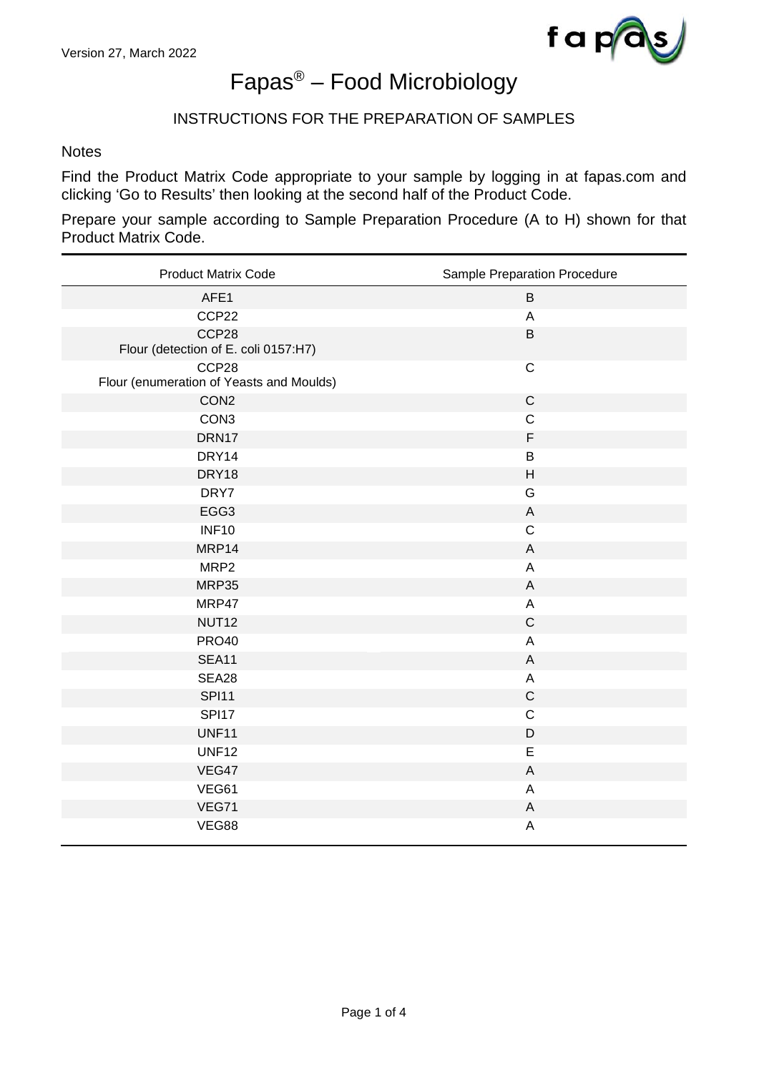

# Fapas® – Food Microbiology

## INSTRUCTIONS FOR THE PREPARATION OF SAMPLES

#### **Notes**

Find the Product Matrix Code appropriate to your sample by logging in at fapas.com and clicking 'Go to Results' then looking at the second half of the Product Code.

Prepare your sample according to Sample Preparation Procedure (A to H) shown for that Product Matrix Code.

| <b>Product Matrix Code</b>                        | Sample Preparation Procedure |
|---------------------------------------------------|------------------------------|
| AFE1                                              | B                            |
| CCP22                                             | A                            |
| CCP28<br>Flour (detection of E. coli 0157:H7)     | $\sf B$                      |
| CCP28<br>Flour (enumeration of Yeasts and Moulds) | $\mathsf C$                  |
| CON <sub>2</sub>                                  | $\mathsf C$                  |
| CON <sub>3</sub>                                  | $\mathsf C$                  |
| DRN17                                             | $\mathsf F$                  |
| DRY14                                             | $\sf B$                      |
| DRY18                                             | H                            |
| DRY7                                              | G                            |
| EGG3                                              | $\mathsf A$                  |
| <b>INF10</b>                                      | $\mathsf C$                  |
| MRP14                                             | A                            |
| MRP <sub>2</sub>                                  | A                            |
| MRP35                                             | A                            |
| MRP47                                             | A                            |
| NUT <sub>12</sub>                                 | $\mathsf C$                  |
| <b>PRO40</b>                                      | A                            |
| <b>SEA11</b>                                      | $\mathsf{A}$                 |
| SEA28                                             | $\mathsf A$                  |
| <b>SPI11</b>                                      | $\mathsf C$                  |
| <b>SPI17</b>                                      | $\mathsf C$                  |
| <b>UNF11</b>                                      | $\mathsf D$                  |
| <b>UNF12</b>                                      | E                            |
| VEG47                                             | $\mathsf A$                  |
| VEG61                                             | A                            |
| VEG71                                             | $\mathsf A$                  |
| VEG88                                             | A                            |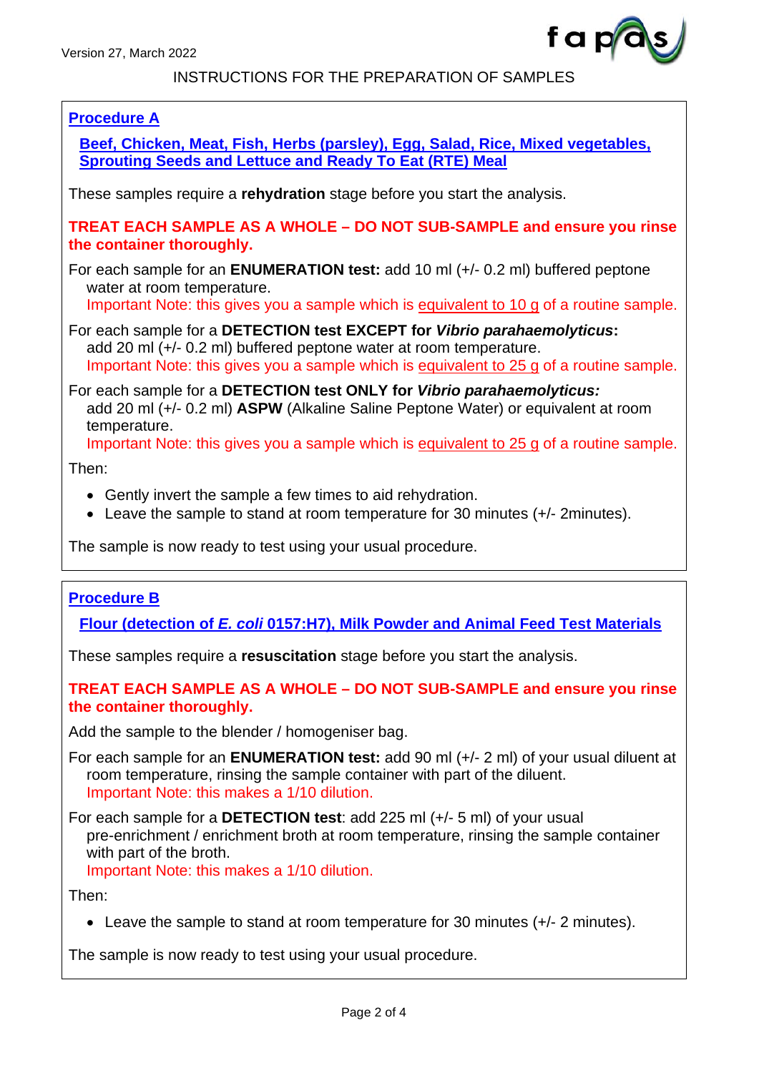

## INSTRUCTIONS FOR THE PREPARATION OF SAMPLES

## **Procedure A**

**Beef, Chicken, Meat, Fish, Herbs (parsley), Egg, Salad, Rice, Mixed vegetables, Sprouting Seeds and Lettuce and Ready To Eat (RTE) Meal**

These samples require a **rehydration** stage before you start the analysis.

**TREAT EACH SAMPLE AS A WHOLE – DO NOT SUB-SAMPLE and ensure you rinse the container thoroughly.**

For each sample for an **ENUMERATION test:** add 10 ml (+/- 0.2 ml) buffered peptone water at room temperature.

Important Note: this gives you a sample which is equivalent to 10 g of a routine sample.

For each sample for a **DETECTION test EXCEPT for** *Vibrio parahaemolyticus***:**  add 20 ml (+/- 0.2 ml) buffered peptone water at room temperature. Important Note: this gives you a sample which is equivalent to 25 g of a routine sample.

For each sample for a **DETECTION test ONLY for** *Vibrio parahaemolyticus:* add 20 ml (+/- 0.2 ml) **ASPW** (Alkaline Saline Peptone Water) or equivalent at room temperature.

Important Note: this gives you a sample which is equivalent to 25 g of a routine sample.

Then:

- Gently invert the sample a few times to aid rehydration.
- Leave the sample to stand at room temperature for 30 minutes (+/- 2minutes).

The sample is now ready to test using your usual procedure.

## **Procedure B**

**Flour (detection of** *E. coli* **0157:H7), Milk Powder and Animal Feed Test Materials**

These samples require a **resuscitation** stage before you start the analysis.

### **TREAT EACH SAMPLE AS A WHOLE – DO NOT SUB-SAMPLE and ensure you rinse the container thoroughly.**

Add the sample to the blender / homogeniser bag.

For each sample for an **ENUMERATION test:** add 90 ml (+/- 2 ml) of your usual diluent at room temperature, rinsing the sample container with part of the diluent. Important Note: this makes a 1/10 dilution.

For each sample for a **DETECTION test**: add 225 ml (+/- 5 ml) of your usual pre-enrichment / enrichment broth at room temperature, rinsing the sample container with part of the broth.

Important Note: this makes a 1/10 dilution.

Then:

• Leave the sample to stand at room temperature for 30 minutes  $(+/- 2$  minutes).

The sample is now ready to test using your usual procedure.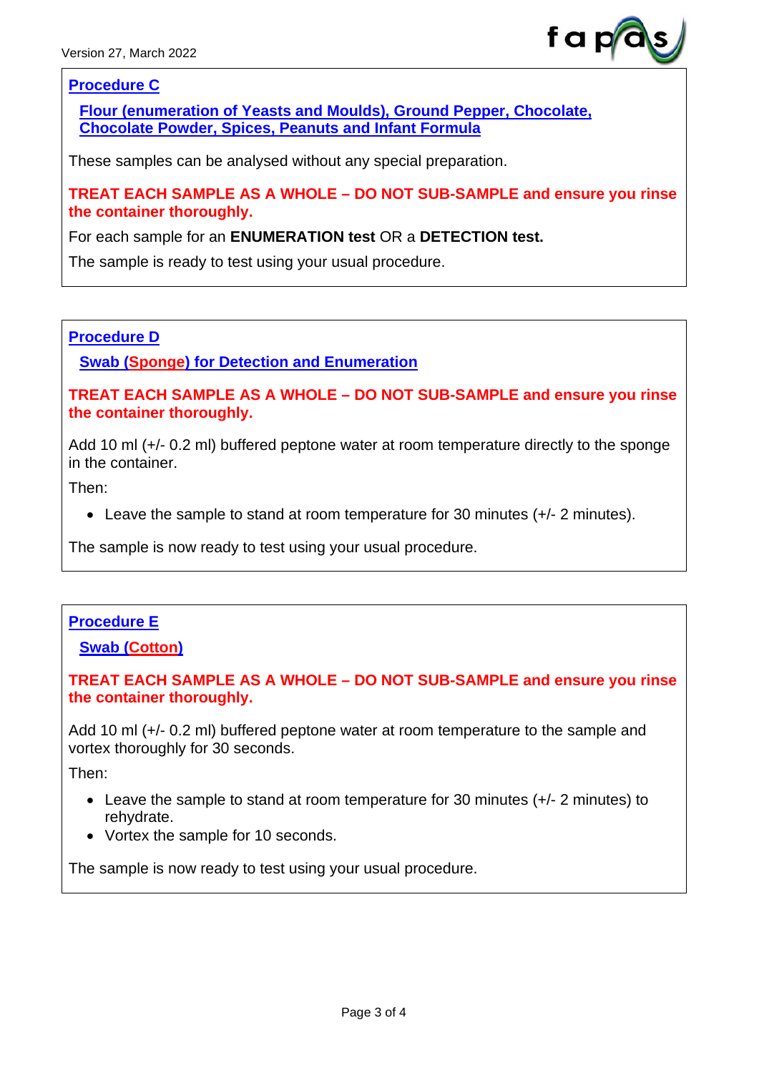

## **Procedure C**

**Flour (enumeration of Yeasts and Moulds), Ground Pepper, Chocolate, Chocolate Powder, Spices, Peanuts and Infant Formula**

These samples can be analysed without any special preparation.

**TREAT EACH SAMPLE AS A WHOLE – DO NOT SUB-SAMPLE and ensure you rinse the container thoroughly.**

For each sample for an **ENUMERATION test** OR a **DETECTION test.**

The sample is ready to test using your usual procedure.

### **Procedure D**

**Swab (Sponge) for Detection and Enumeration**

**TREAT EACH SAMPLE AS A WHOLE – DO NOT SUB-SAMPLE and ensure you rinse the container thoroughly.**

Add 10 ml (+/- 0.2 ml) buffered peptone water at room temperature directly to the sponge in the container.

Then:

• Leave the sample to stand at room temperature for 30 minutes  $(+/- 2$  minutes).

The sample is now ready to test using your usual procedure.

## **Procedure E**

**Swab (Cotton)**

## **TREAT EACH SAMPLE AS A WHOLE – DO NOT SUB-SAMPLE and ensure you rinse the container thoroughly.**

Add 10 ml (+/- 0.2 ml) buffered peptone water at room temperature to the sample and vortex thoroughly for 30 seconds.

Then:

- Leave the sample to stand at room temperature for 30 minutes (+/- 2 minutes) to rehydrate.
- Vortex the sample for 10 seconds.

The sample is now ready to test using your usual procedure.